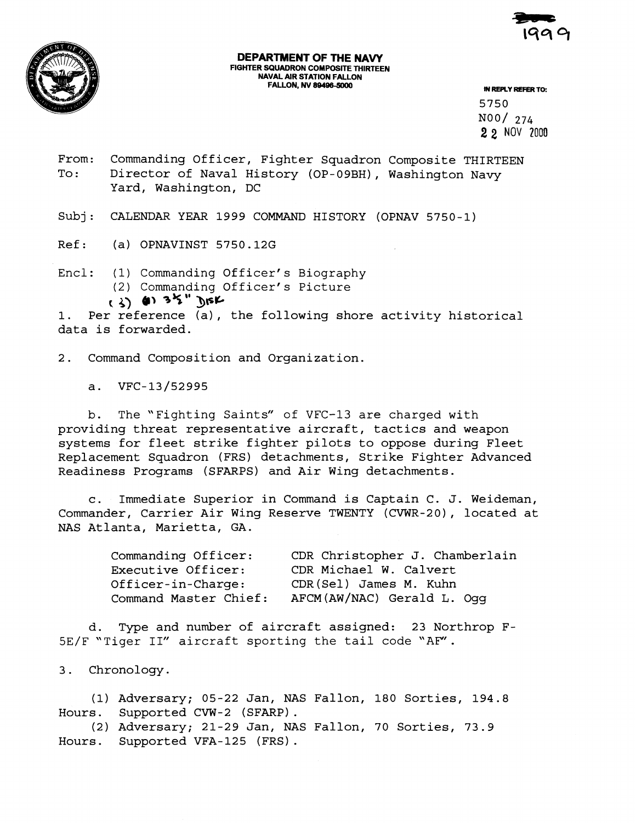

## **DEPARTMENT OF THE NAVY FIGHTER SQUADRON COMPOSITE THIRTEEN NAVAL AIR STATION FALLON FALLON, NV 89496-5000**

**IN REPLY REFER TO:** 

5750 N00/ 274 **2 2** NOV **2000** 

- From: Commanding Officer, Fighter Squadron Composite THIRTEEN To: Director of Naval History (OP-09BH), Washington Navy Yard, Washington, DC
- Subj: CALENDAR YEAR 1999 COMMAND HISTORY (OPNAV 5750-1)
- Ref: (a) OPNAVINST 5750.12G
- Encl: (1) Commanding Officer's Biography (2) Commanding Officer' s Picture  $(3)$  (1)  $35''$  **DISK**

**I.** Per reference (a), the following shore activity historical data is forwarded.

2. Command Composition and Organization.

VFC-13/52995  $a.$ 

b. The "Fighting Saints" of VFC-13 are charged with providing threat representative aircraft, tactics and weapon systems for fleet strike fighter pilots to oppose during Fleet Replacement Squadron (FRS) detachments, Strike Fighter Advanced Readiness Programs (SFARPS) and Air Wing detachments.

c. Immediate Superior in Command is Captain C. J. Weideman, Commander, Carrier Air Wing Reserve TWENTY (CVWR-20), located at NAS Atlanta, Marietta, GA.

| Commanding Officer:   | CDR Christopher J. Chamberlain |
|-----------------------|--------------------------------|
| Executive Officer:    | CDR Michael W. Calvert         |
| Officer-in-Charge:    | CDR(Sel) James M. Kuhn         |
| Command Master Chief: | AFCM(AW/NAC) Gerald L. Oqq     |

d. Type and number of aircraft assigned: 23 Northrop F-5E/F "Tiger 11" aircraft sporting the tail code "AE"'.

Chronology.  $3.$ 

(1) Adversary; 05-22 Jan, NAS Fallon, 180 Sorties, 194.8 Hours. Supported CVW-2 (SFARP) . (2) Adversary; 21-29 Jan, NAS Fallon, 70 Sorties, 73.9

Hours. Supported VFA-125 (FRS).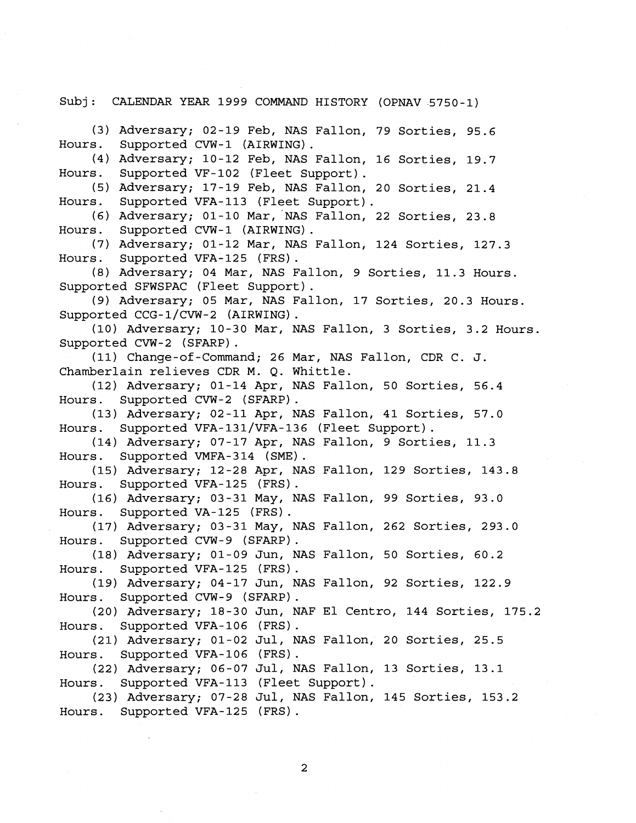Subj: CALENDAR YEAR 1999 COMMAND HISTORY (OPNAV 5750-1)

(3) Adversary; 02-19 Feb, NAS Fallon, 79 Sorties, 95.6 Hours. Supported CVW-1 (AIRWING) . (4) Adversary; 10-12 Feb, NAS Fallon, 16 Sorties, 19.7 Hours. Supported VF-102 (Fleet Support). (5) Adversary; 17-19 Feb, NAS Fallon, 20 Sorties, 21.4 Hours. Supported VFA-113 (Fleet Support). (6) Adversary; 01-10 Mar, NAS Fallon, 22 Sorties, 23.8 Hours. Supported CVW-1 (AIRWING) . (7) Adversary; 01-12 Mar, NAS Fallon, 124 Sorties, 127.3 Hours. Supported VFA-125 (FRS) . (8) Adversary; 04 Mar, NAS Fallon, 9 Sorties, 11.3 Hours. Supported SFWSPAC (Fleet Support). (9) Adversary; 05 Mar, NAS Fallon, 17 Sorties, 20.3 Hours. Supported CCG-l/CVW-2 (AIRWING) . (10) Adversary; 10-30 Mar, NAS Fallon, 3 Sorties, 3.2 Hours. Supported CVW-2 (SFARP) . (11) Change-of-Command; 26 Mar, NAS Fallon, CDR C. J. Chamberlain relieves CDR M. Q. Whittle. (12) Adversary; 01-14 Apr, NAS Fallon, 50 Sorties, 56.4 Hours. Supported CVW-2 (SFARP) . (13) Adversary; 02-11 Apr, NAS Fallon, 41 Sorties, 57.0 Hours. Supported VFA-131/VFA-136 (Fleet Support). (14) Adversary; 07-17 Apr, NAS Fallon, 9 Sorties, 11.3 Hours. Supported VMFA-314 (SME). (15) Adversary; 12-28 Apr, NAS Fallon, 129 Sorties, 143.8 Hours. Supported VFA-125 (FRS) . (16) Adversary; 03-31 May, NAS Fallon, 99 Sorties, 93.0 Hours. Supported VA-125 (FRS) . (17) Adversary; 03-31 May, NAS Fallon, 262 Sorties, 293.0 Hours. Supported CVW-9 (SFARP) . (18) Adversary; 01-09 Jun, NAS Fallon, 50 Sorties, 60.2 Hours. Supported VFA-125 (FRS) . (19) Adversary; 04-17 Jun, NAS Fallon, 92 Sorties, 122.9 Hours. Supported CVW-9 (SFARP).<br>(20) Adversary; 18-30 Jun, NAF El Centro, 144 Sorties, 175.2 Hours. Supported VFA-106 (FRS) . (21) Adversary; 01-02 Jul, NAS Fallon, 20 Sorties, 25.5 Hours. Supported VFA-106 (FRS). (22) Adversary; 06-07 Jul, NAS Fallon, 13 Sorties, 13.1 Hours. Supported VFA-113 (Fleet Support). (23) Adversary; 07-28 Jul, NAS Fallon, 145 Sorties, 153.2 Hours. Supported VFA-125 (FRS) .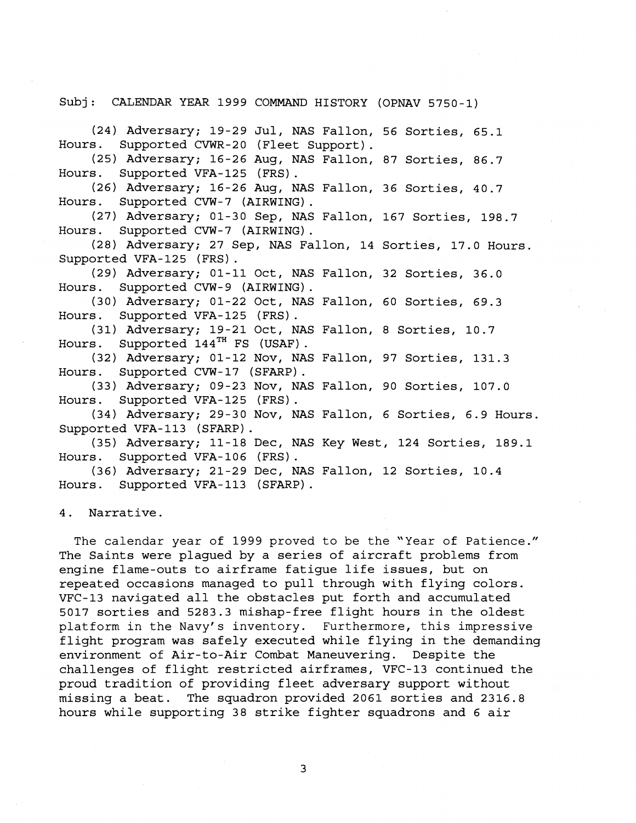Subj: CALENDAR YEAR 1999 COMMAND HISTORY (OPNAV 5750-1)

(24) Adversary; 19-29 Jul, NAS Fallon, 56 Sorties, 65.1 Hours. Supported CVWR-20 (Fleet Support).

(25) Adversary; 16-26 Aug, NAS Fallon, 87 Sorties, 86.7 Hours. Supported VFA-125 (FRS) . (26) Adversary; 16-26 Aug, NAS Fallon, 36 Sorties, 40.7

Hours. Supported CVW-7 (AIRWING).<br>(27) Adversary; 01-30 Sep, NAS Fallon, 167 Sorties, 198.7

Hours. Supported CVW-7 (AIRWING).

(28) Adversary; 27 Sep, NAS Fallon, 14 Sorties, 17.0 Hours. Supported VFA-125 (FRS) . (29) Adversary; 01-11 Oct, NAS Fallon, 32 Sorties, 36.0

Hours. Supported CVW-9 (AIRWING) .

(30) Adversary; 01-22 Oct, NAS Fallon, 60 Sorties, 69.3

Hours. Supported VFA-125 (FRS).<br>(31) Adversary; 19-21 Oct, NAS Fallon, 8 Sorties, 10.7<br>Hours. Supported 144<sup>TH</sup> FS (USAF).

(32) Adversary; 01-12 Nov, NAS Fallon, 97 Sorties, 131.3 Hours. Supported CVW-17 (SFARP) .

(33) Adversary; 09-23 Nov, NAS Fallon, 90 Sorties, 107.0 Hours. Supported VFA-125 (FRS) . (34) Adversary; 29-30 Nov, NAS Fallon, 6 Sorties, 6.9 Hours.

Supported VFA-113 (SFARP) . (35) Adversary; 11-18 Dec, NAS Key West, 124 Sorties, 189.1

Hours. Supported VFA-106 (FRS) . (36) Adversary; 21-29 Dec, NAS Fallon, 12 Sorties, 10.4

Hours. Supported VFA-113 (SFARP) .

4. Narrative.

The calendar year of 1999 proved to be the "Year of Patience." The Saints were plagued by a series of aircraft problems from engine flame-outs to airframe fatigue life issues, but on repeated occasions managed to pull through with flying colors. VFC-13 navigated all the obstacles put forth and accumulated 5017 sorties and 5283.3 mishap-free flight hours in the oldest platform in the Navy's inventory. Furthermore, this impressive flight program was safely executed while flying in the demanding environment of Air-to-Air Combat Maneuvering. Despite the challenges of flight restricted airframes, VFC-13 continued the proud tradition of providing fleet adversary support without missing a beat. The squadron provided 2061 sorties and 2316.8 hours while supporting 38 strike fighter squadrons and 6 air